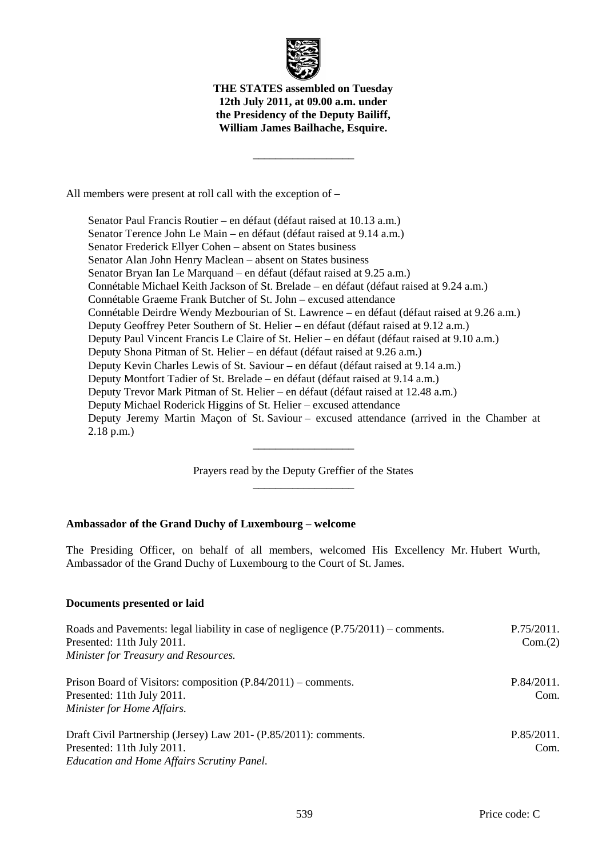

**THE STATES assembled on Tuesday 12th July 2011, at 09.00 a.m. under the Presidency of the Deputy Bailiff, William James Bailhache, Esquire.** 

\_\_\_\_\_\_\_\_\_\_\_\_\_\_\_\_\_\_

All members were present at roll call with the exception of –

 Senator Paul Francis Routier – en défaut (défaut raised at 10.13 a.m.) Senator Terence John Le Main – en défaut (défaut raised at 9.14 a.m.) Senator Frederick Ellyer Cohen – absent on States business Senator Alan John Henry Maclean – absent on States business Senator Bryan Ian Le Marquand – en défaut (défaut raised at 9.25 a.m.) Connétable Michael Keith Jackson of St. Brelade – en défaut (défaut raised at 9.24 a.m.) Connétable Graeme Frank Butcher of St. John – excused attendance Connétable Deirdre Wendy Mezbourian of St. Lawrence – en défaut (défaut raised at 9.26 a.m.) Deputy Geoffrey Peter Southern of St. Helier – en défaut (défaut raised at 9.12 a.m.) Deputy Paul Vincent Francis Le Claire of St. Helier – en défaut (défaut raised at 9.10 a.m.) Deputy Shona Pitman of St. Helier – en défaut (défaut raised at 9.26 a.m.) Deputy Kevin Charles Lewis of St. Saviour – en défaut (défaut raised at 9.14 a.m.) Deputy Montfort Tadier of St. Brelade – en défaut (défaut raised at 9.14 a.m.) Deputy Trevor Mark Pitman of St. Helier – en défaut (défaut raised at 12.48 a.m.) Deputy Michael Roderick Higgins of St. Helier – excused attendance Deputy Jeremy Martin Maçon of St. Saviour – excused attendance (arrived in the Chamber at 2.18 p.m.)

> Prayers read by the Deputy Greffier of the States \_\_\_\_\_\_\_\_\_\_\_\_\_\_\_\_\_\_

\_\_\_\_\_\_\_\_\_\_\_\_\_\_\_\_\_\_

## **Ambassador of the Grand Duchy of Luxembourg** – **welcome**

The Presiding Officer, on behalf of all members, welcomed His Excellency Mr. Hubert Wurth, Ambassador of the Grand Duchy of Luxembourg to the Court of St. James.

### **Documents presented or laid**

| Roads and Pavements: legal liability in case of negligence $(P.75/2011)$ – comments.<br>Presented: 11th July 2011.<br>Minister for Treasury and Resources. | P.75/2011.<br>Com.(2) |
|------------------------------------------------------------------------------------------------------------------------------------------------------------|-----------------------|
| Prison Board of Visitors: composition (P.84/2011) – comments.<br>Presented: 11th July 2011.<br>Minister for Home Affairs.                                  | P.84/2011.<br>Com.    |
| Draft Civil Partnership (Jersey) Law 201- (P.85/2011): comments.<br>Presented: 11th July 2011.<br>Education and Home Affairs Scrutiny Panel.               | P.85/2011.<br>Com.    |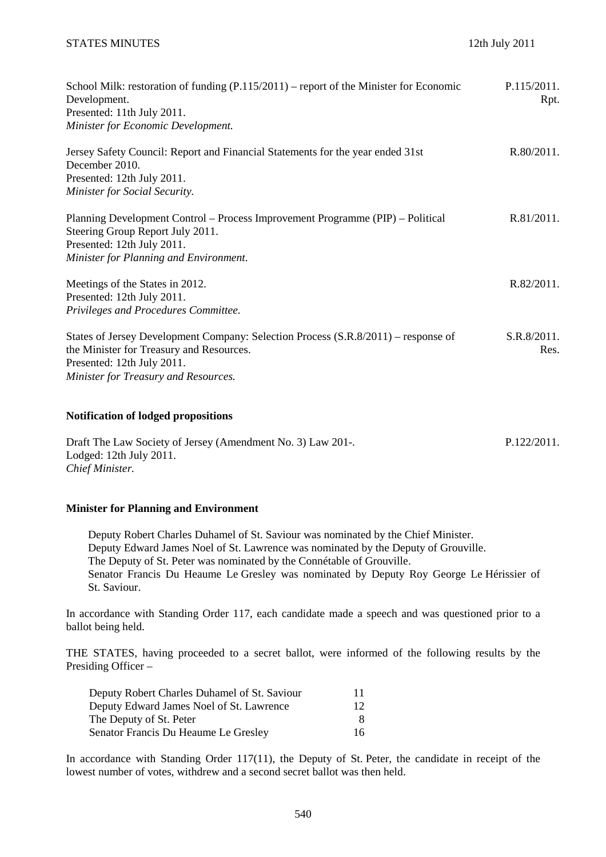| School Milk: restoration of funding $(P.115/2011)$ – report of the Minister for Economic<br>Development.<br>Presented: 11th July 2011.<br>Minister for Economic Development.                         | P.115/2011.<br>Rpt. |
|------------------------------------------------------------------------------------------------------------------------------------------------------------------------------------------------------|---------------------|
| Jersey Safety Council: Report and Financial Statements for the year ended 31st<br>December 2010.<br>Presented: 12th July 2011.<br>Minister for Social Security.                                      | R.80/2011.          |
| Planning Development Control – Process Improvement Programme (PIP) – Political<br>Steering Group Report July 2011.<br>Presented: 12th July 2011.<br>Minister for Planning and Environment.           | R.81/2011.          |
| Meetings of the States in 2012.<br>Presented: 12th July 2011.<br>Privileges and Procedures Committee.                                                                                                | R.82/2011.          |
| States of Jersey Development Company: Selection Process (S.R.8/2011) – response of<br>the Minister for Treasury and Resources.<br>Presented: 12th July 2011.<br>Minister for Treasury and Resources. | S.R.8/2011.<br>Res. |

### **Notification of lodged propositions**

Draft The Law Society of Jersey (Amendment No. 3) Law 201-. Lodged: 12th July 2011. *Chief Minister.*  P.122/2011.

### **Minister for Planning and Environment**

 Deputy Robert Charles Duhamel of St. Saviour was nominated by the Chief Minister. Deputy Edward James Noel of St. Lawrence was nominated by the Deputy of Grouville. The Deputy of St. Peter was nominated by the Connétable of Grouville. Senator Francis Du Heaume Le Gresley was nominated by Deputy Roy George Le Hérissier of St. Saviour.

In accordance with Standing Order 117, each candidate made a speech and was questioned prior to a ballot being held.

THE STATES, having proceeded to a secret ballot, were informed of the following results by the Presiding Officer –

| Deputy Robert Charles Duhamel of St. Saviour | 11 |
|----------------------------------------------|----|
| Deputy Edward James Noel of St. Lawrence     | 12 |
| The Deputy of St. Peter                      |    |
| Senator Francis Du Heaume Le Gresley         | 16 |

In accordance with Standing Order 117(11), the Deputy of St. Peter, the candidate in receipt of the lowest number of votes, withdrew and a second secret ballot was then held.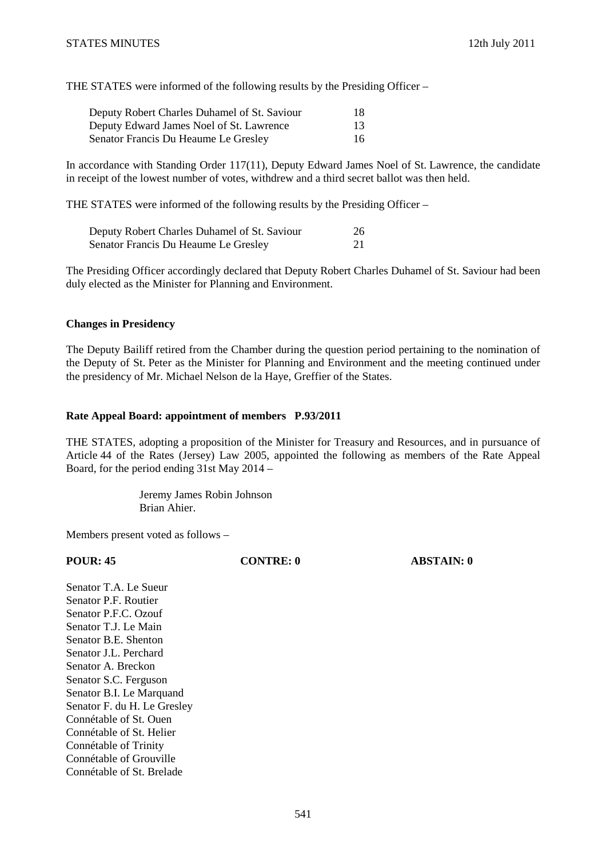THE STATES were informed of the following results by the Presiding Officer –

| Deputy Robert Charles Duhamel of St. Saviour | 18 |
|----------------------------------------------|----|
| Deputy Edward James Noel of St. Lawrence     | 13 |
| Senator Francis Du Heaume Le Gresley         | 16 |

In accordance with Standing Order 117(11), Deputy Edward James Noel of St. Lawrence, the candidate in receipt of the lowest number of votes, withdrew and a third secret ballot was then held.

THE STATES were informed of the following results by the Presiding Officer –

| Deputy Robert Charles Duhamel of St. Saviour | 26 |
|----------------------------------------------|----|
| Senator Francis Du Heaume Le Gresley         | 21 |

The Presiding Officer accordingly declared that Deputy Robert Charles Duhamel of St. Saviour had been duly elected as the Minister for Planning and Environment.

### **Changes in Presidency**

The Deputy Bailiff retired from the Chamber during the question period pertaining to the nomination of the Deputy of St. Peter as the Minister for Planning and Environment and the meeting continued under the presidency of Mr. Michael Nelson de la Haye, Greffier of the States.

### **Rate Appeal Board: appointment of members P.93/2011**

THE STATES, adopting a proposition of the Minister for Treasury and Resources, and in pursuance of Article 44 of the Rates (Jersey) Law 2005, appointed the following as members of the Rate Appeal Board, for the period ending 31st May 2014 –

> Jeremy James Robin Johnson Brian Ahier.

Members present voted as follows –

**POUR: 45 CONTRE: 0 ABSTAIN: 0** 

Senator T.A. Le Sueur Senator P.F. Routier Senator P.F.C. Ozouf Senator T. L. e Main Senator B.E. Shenton Senator J.L. Perchard Senator A. Breckon Senator S.C. Ferguson Senator B.I. Le Marquand Senator F. du H. Le Gresley Connétable of St. Ouen Connétable of St. Helier Connétable of Trinity Connétable of Grouville Connétable of St. Brelade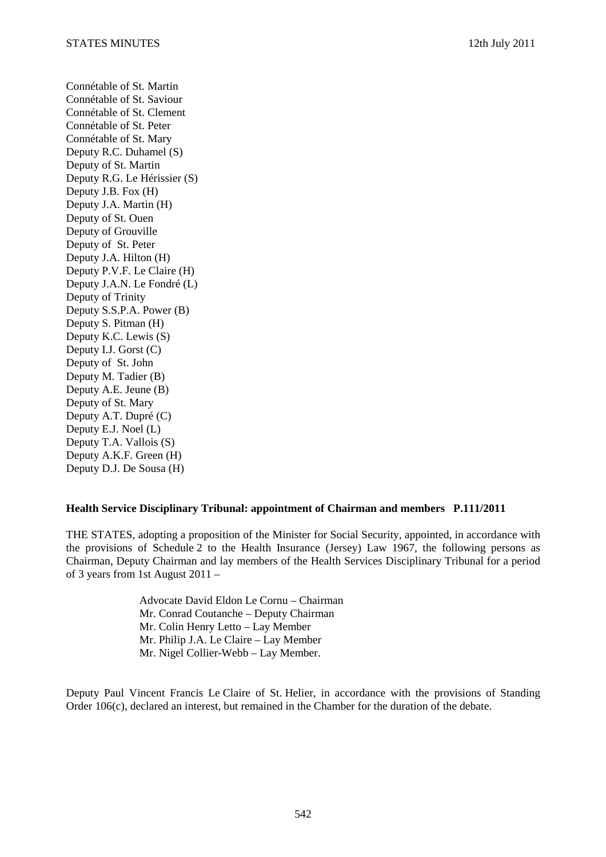Connétable of St. Martin Connétable of St. Saviour Connétable of St. Clement Connétable of St. Peter Connétable of St. Mary Deputy R.C. Duhamel (S) Deputy of St. Martin Deputy R.G. Le Hérissier (S) Deputy J.B. Fox (H) Deputy J.A. Martin (H) Deputy of St. Ouen Deputy of Grouville Deputy of St. Peter Deputy J.A. Hilton (H) Deputy P.V.F. Le Claire (H) Deputy J.A.N. Le Fondré (L) Deputy of Trinity Deputy S.S.P.A. Power (B) Deputy S. Pitman (H) Deputy K.C. Lewis (S) Deputy I.J. Gorst (C) Deputy of St. John Deputy M. Tadier (B) Deputy A.E. Jeune (B) Deputy of St. Mary Deputy A.T. Dupré (C) Deputy E.J. Noel (L) Deputy T.A. Vallois (S) Deputy A.K.F. Green (H) Deputy D.J. De Sousa (H)

### **Health Service Disciplinary Tribunal: appointment of Chairman and members P.111/2011**

THE STATES, adopting a proposition of the Minister for Social Security, appointed, in accordance with the provisions of Schedule 2 to the Health Insurance (Jersey) Law 1967, the following persons as Chairman, Deputy Chairman and lay members of the Health Services Disciplinary Tribunal for a period of 3 years from 1st August 2011 –

> Advocate David Eldon Le Cornu – Chairman Mr. Conrad Coutanche – Deputy Chairman Mr. Colin Henry Letto – Lay Member Mr. Philip J.A. Le Claire – Lay Member Mr. Nigel Collier-Webb – Lay Member.

Deputy Paul Vincent Francis Le Claire of St. Helier, in accordance with the provisions of Standing Order 106(c), declared an interest, but remained in the Chamber for the duration of the debate.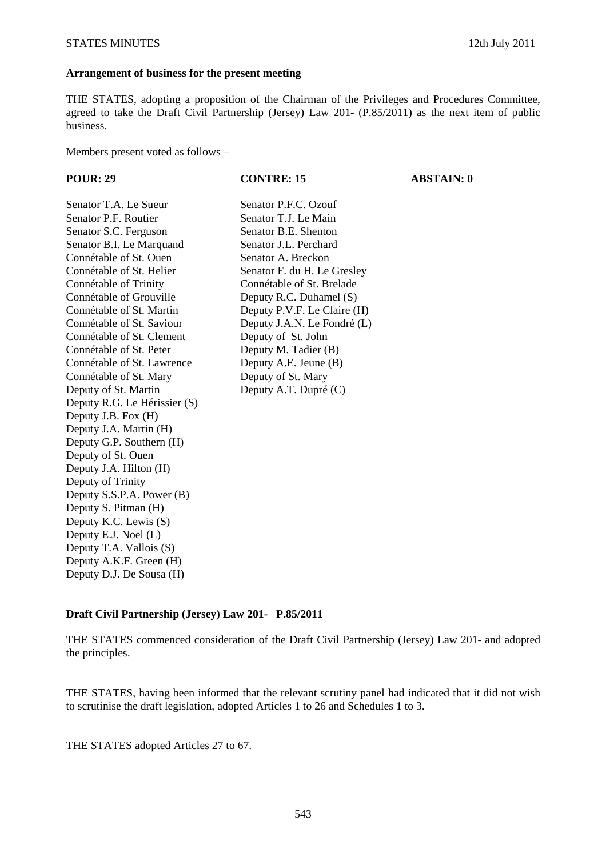#### **Arrangement of business for the present meeting**

THE STATES, adopting a proposition of the Chairman of the Privileges and Procedures Committee, agreed to take the Draft Civil Partnership (Jersey) Law 201- (P.85/2011) as the next item of public business.

Members present voted as follows –

| <b>POUR: 29</b>              | <b>CONTRE: 15</b>           | <b>ABSTAIN: 0</b> |
|------------------------------|-----------------------------|-------------------|
| Senator T.A. Le Sueur        | Senator P.F.C. Ozouf        |                   |
| Senator P.F. Routier         | Senator T.J. Le Main        |                   |
| Senator S.C. Ferguson        | Senator B.E. Shenton        |                   |
| Senator B.I. Le Marquand     | Senator J.L. Perchard       |                   |
| Connétable of St. Ouen       | Senator A. Breckon          |                   |
| Connétable of St. Helier     | Senator F. du H. Le Gresley |                   |
| Connétable of Trinity        | Connétable of St. Brelade   |                   |
| Connétable of Grouville      | Deputy R.C. Duhamel (S)     |                   |
| Connétable of St. Martin     | Deputy P.V.F. Le Claire (H) |                   |
| Connétable of St. Saviour    | Deputy J.A.N. Le Fondré (L) |                   |
| Connétable of St. Clement    | Deputy of St. John          |                   |
| Connétable of St. Peter      | Deputy M. Tadier (B)        |                   |
| Connétable of St. Lawrence   | Deputy A.E. Jeune (B)       |                   |
| Connétable of St. Mary       | Deputy of St. Mary          |                   |
| Deputy of St. Martin         | Deputy A.T. Dupré (C)       |                   |
| Deputy R.G. Le Hérissier (S) |                             |                   |
| Deputy J.B. Fox (H)          |                             |                   |
| Deputy J.A. Martin (H)       |                             |                   |
| Deputy G.P. Southern (H)     |                             |                   |
| Deputy of St. Ouen           |                             |                   |
| Deputy J.A. Hilton (H)       |                             |                   |
| Deputy of Trinity            |                             |                   |
| Deputy S.S.P.A. Power (B)    |                             |                   |
| Deputy S. Pitman (H)         |                             |                   |
| Deputy K.C. Lewis (S)        |                             |                   |
| Deputy E.J. Noel (L)         |                             |                   |
| Deputy T.A. Vallois (S)      |                             |                   |
| Deputy A.K.F. Green (H)      |                             |                   |

### **Draft Civil Partnership (Jersey) Law 201- P.85/2011**

THE STATES commenced consideration of the Draft Civil Partnership (Jersey) Law 201- and adopted the principles.

THE STATES, having been informed that the relevant scrutiny panel had indicated that it did not wish to scrutinise the draft legislation, adopted Articles 1 to 26 and Schedules 1 to 3.

THE STATES adopted Articles 27 to 67.

Deputy D.J. De Sousa (H)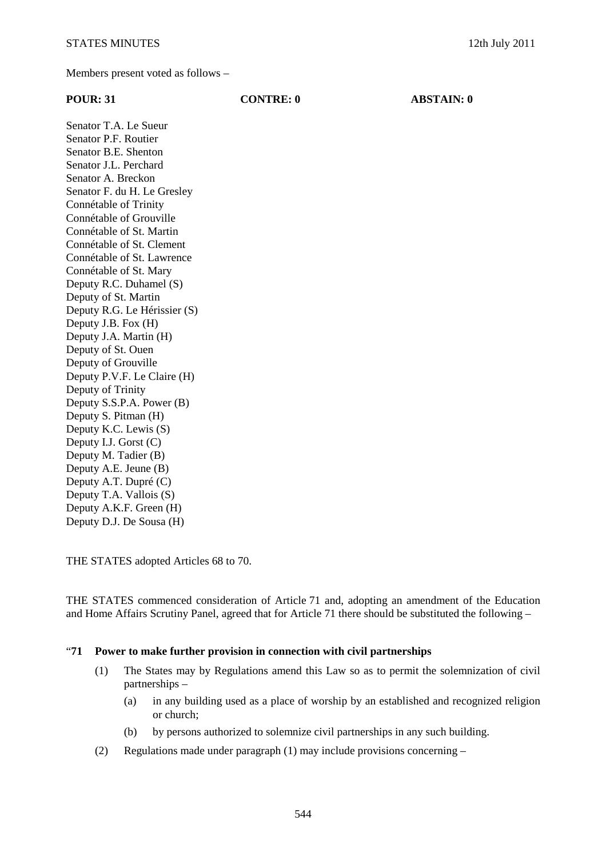Members present voted as follows –

| <b>POUR: 31</b>              | <b>CONTRE: 0</b> | <b>ABSTAIN: 0</b> |
|------------------------------|------------------|-------------------|
| Senator T.A. Le Sueur        |                  |                   |
| Senator P.F. Routier         |                  |                   |
| Senator B.E. Shenton         |                  |                   |
| Senator J.L. Perchard        |                  |                   |
| Senator A. Breckon           |                  |                   |
| Senator F. du H. Le Gresley  |                  |                   |
| Connétable of Trinity        |                  |                   |
| Connétable of Grouville      |                  |                   |
| Connétable of St. Martin     |                  |                   |
| Connétable of St. Clement    |                  |                   |
| Connétable of St. Lawrence   |                  |                   |
| Connétable of St. Mary       |                  |                   |
| Deputy R.C. Duhamel (S)      |                  |                   |
| Deputy of St. Martin         |                  |                   |
| Deputy R.G. Le Hérissier (S) |                  |                   |
| Deputy J.B. Fox (H)          |                  |                   |
| Deputy J.A. Martin (H)       |                  |                   |
| Deputy of St. Ouen           |                  |                   |
| Deputy of Grouville          |                  |                   |
| Deputy P.V.F. Le Claire (H)  |                  |                   |
| Deputy of Trinity            |                  |                   |
| Deputy S.S.P.A. Power (B)    |                  |                   |
| Deputy S. Pitman (H)         |                  |                   |
| Deputy K.C. Lewis (S)        |                  |                   |
| Deputy I.J. Gorst (C)        |                  |                   |
| Deputy M. Tadier (B)         |                  |                   |
| Deputy A.E. Jeune (B)        |                  |                   |
| Deputy A.T. Dupré (C)        |                  |                   |
| Deputy T.A. Vallois (S)      |                  |                   |
| Deputy A.K.F. Green (H)      |                  |                   |
| Deputy D.J. De Sousa (H)     |                  |                   |

THE STATES adopted Articles 68 to 70.

THE STATES commenced consideration of Article 71 and, adopting an amendment of the Education and Home Affairs Scrutiny Panel, agreed that for Article 71 there should be substituted the following –

### "**71 Power to make further provision in connection with civil partnerships**

- (1) The States may by Regulations amend this Law so as to permit the solemnization of civil partnerships –
	- (a) in any building used as a place of worship by an established and recognized religion or church;
	- (b) by persons authorized to solemnize civil partnerships in any such building.
- (2) Regulations made under paragraph (1) may include provisions concerning –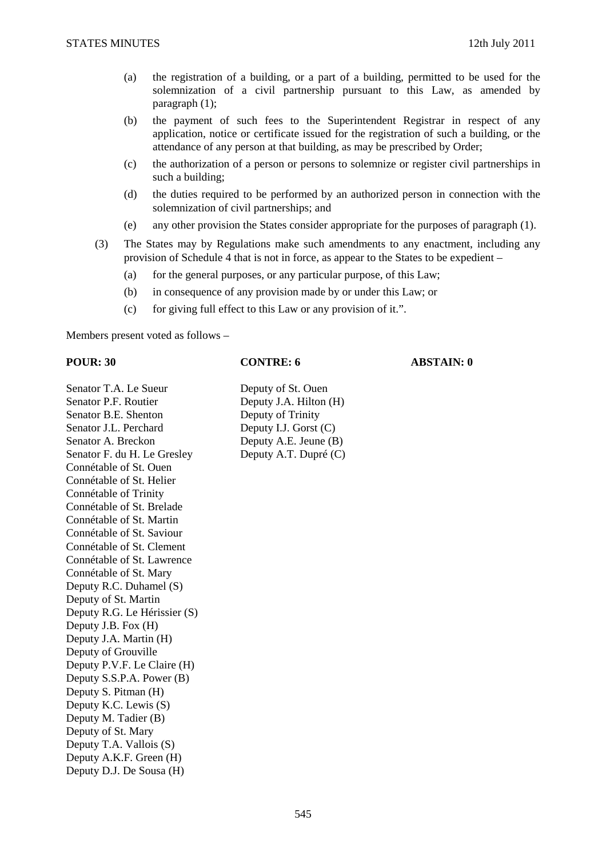- (a) the registration of a building, or a part of a building, permitted to be used for the solemnization of a civil partnership pursuant to this Law, as amended by paragraph (1);
- (b) the payment of such fees to the Superintendent Registrar in respect of any application, notice or certificate issued for the registration of such a building, or the attendance of any person at that building, as may be prescribed by Order;
- (c) the authorization of a person or persons to solemnize or register civil partnerships in such a building;
- (d) the duties required to be performed by an authorized person in connection with the solemnization of civil partnerships; and
- (e) any other provision the States consider appropriate for the purposes of paragraph (1).
- (3) The States may by Regulations make such amendments to any enactment, including any provision of Schedule 4 that is not in force, as appear to the States to be expedient –
	- (a) for the general purposes, or any particular purpose, of this Law;
	- (b) in consequence of any provision made by or under this Law; or
	- (c) for giving full effect to this Law or any provision of it.".

Members present voted as follows –

## **POUR: 30 CONTRE: 6 ABSTAIN: 0**

Senator T.A. Le Sueur Deputy of St. Ouen Senator P.F. Routier Deputy J.A. Hilton (H) Senator B.E. Shenton Deputy of Trinity Senator J.L. Perchard Deputy I.J. Gorst (C) Senator A. Breckon Deputy A.E. Jeune (B) Senator F. du H. Le Gresley Deputy A.T. Dupré (C) Connétable of St. Ouen Connétable of St. Helier Connétable of Trinity Connétable of St. Brelade Connétable of St. Martin Connétable of St. Saviour Connétable of St. Clement Connétable of St. Lawrence Connétable of St. Mary Deputy R.C. Duhamel (S) Deputy of St. Martin Deputy R.G. Le Hérissier (S) Deputy J.B. Fox (H) Deputy J.A. Martin (H) Deputy of Grouville Deputy P.V.F. Le Claire (H) Deputy S.S.P.A. Power (B) Deputy S. Pitman (H) Deputy K.C. Lewis (S) Deputy M. Tadier (B) Deputy of St. Mary Deputy T.A. Vallois (S) Deputy A.K.F. Green (H) Deputy D.J. De Sousa (H)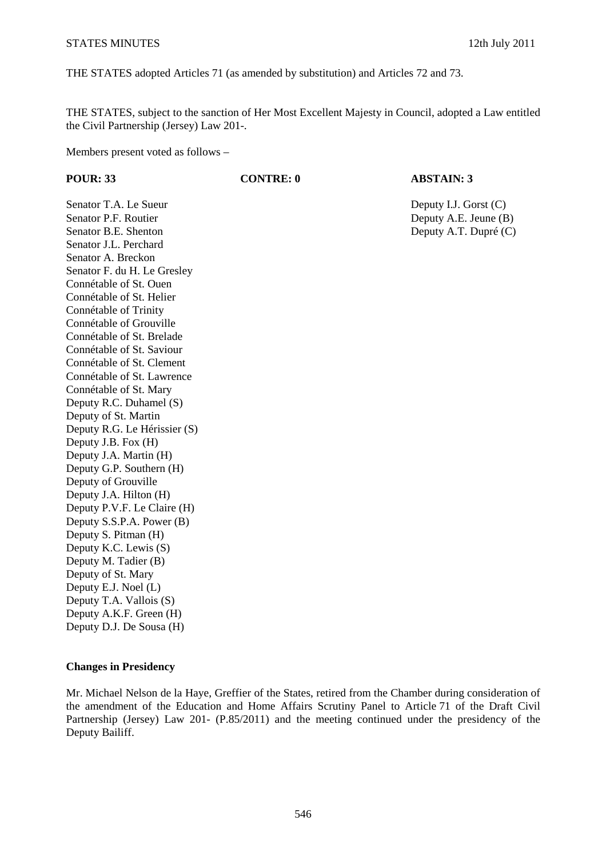THE STATES adopted Articles 71 (as amended by substitution) and Articles 72 and 73.

THE STATES, subject to the sanction of Her Most Excellent Majesty in Council, adopted a Law entitled the Civil Partnership (Jersey) Law 201-.

Members present voted as follows –

# **POUR: 33 CONTRE: 0 ABSTAIN: 3**

Senator P.F. Routier **Deputy A.E. Jeune (B)** Deputy A.E. Jeune (B) Senator B.E. Shenton Deputy A.T. Dupré (C) Senator J.L. Perchard Senator A. Breckon Senator F. du H. Le Gresley Connétable of St. Ouen Connétable of St. Helier Connétable of Trinity Connétable of Grouville Connétable of St. Brelade Connétable of St. Saviour Connétable of St. Clement Connétable of St. Lawrence Connétable of St. Mary Deputy R.C. Duhamel (S) Deputy of St. Martin Deputy R.G. Le Hérissier (S) Deputy J.B. Fox (H) Deputy J.A. Martin (H) Deputy G.P. Southern (H) Deputy of Grouville Deputy J.A. Hilton (H) Deputy P.V.F. Le Claire (H) Deputy S.S.P.A. Power (B) Deputy S. Pitman (H) Deputy K.C. Lewis (S) Deputy M. Tadier (B) Deputy of St. Mary Deputy E.J. Noel (L) Deputy T.A. Vallois (S) Deputy A.K.F. Green (H) Deputy D.J. De Sousa (H)

Senator T.A. Le Sueur Deputy I.J. Gorst (C)

### **Changes in Presidency**

Mr. Michael Nelson de la Haye, Greffier of the States, retired from the Chamber during consideration of the amendment of the Education and Home Affairs Scrutiny Panel to Article 71 of the Draft Civil Partnership (Jersey) Law 201- (P.85/2011) and the meeting continued under the presidency of the Deputy Bailiff.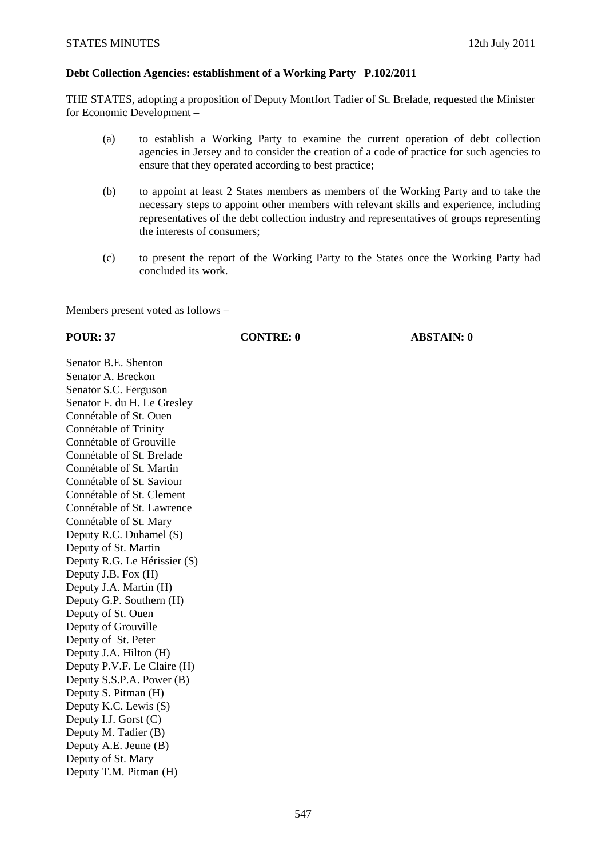### **Debt Collection Agencies: establishment of a Working Party P.102/2011**

THE STATES, adopting a proposition of Deputy Montfort Tadier of St. Brelade, requested the Minister for Economic Development –

- (a) to establish a Working Party to examine the current operation of debt collection agencies in Jersey and to consider the creation of a code of practice for such agencies to ensure that they operated according to best practice;
- (b) to appoint at least 2 States members as members of the Working Party and to take the necessary steps to appoint other members with relevant skills and experience, including representatives of the debt collection industry and representatives of groups representing the interests of consumers;
- (c) to present the report of the Working Party to the States once the Working Party had concluded its work.

Members present voted as follows –

### **POUR: 37 CONTRE: 0 ABSTAIN: 0**

Senator B.E. Shenton Senator A. Breckon Senator S.C. Ferguson Senator F. du H. Le Gresley Connétable of St. Ouen Connétable of Trinity Connétable of Grouville Connétable of St. Brelade Connétable of St. Martin Connétable of St. Saviour Connétable of St. Clement Connétable of St. Lawrence Connétable of St. Mary Deputy R.C. Duhamel (S) Deputy of St. Martin Deputy R.G. Le Hérissier (S) Deputy J.B. Fox (H) Deputy J.A. Martin (H) Deputy G.P. Southern (H) Deputy of St. Ouen Deputy of Grouville Deputy of St. Peter Deputy J.A. Hilton (H) Deputy P.V.F. Le Claire (H) Deputy S.S.P.A. Power (B) Deputy S. Pitman (H) Deputy K.C. Lewis (S) Deputy I.J. Gorst (C) Deputy M. Tadier (B) Deputy A.E. Jeune (B) Deputy of St. Mary Deputy T.M. Pitman (H)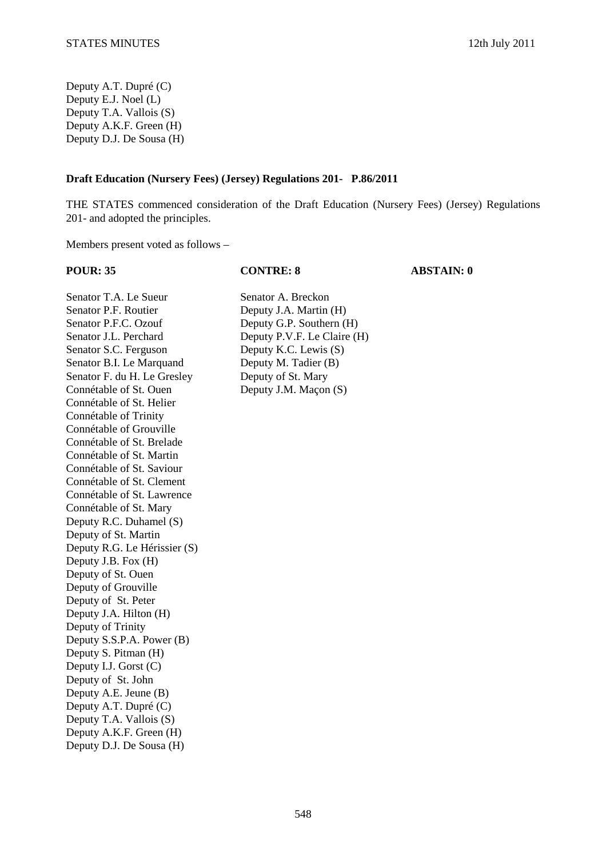Deputy A.T. Dupré (C) Deputy E.J. Noel (L) Deputy T.A. Vallois (S) Deputy A.K.F. Green (H) Deputy D.J. De Sousa (H)

### **Draft Education (Nursery Fees) (Jersey) Regulations 201- P.86/2011**

THE STATES commenced consideration of the Draft Education (Nursery Fees) (Jersey) Regulations 201- and adopted the principles.

Members present voted as follows –

**POUR: 35 CONTRE: 8 ABSTAIN: 0** 

Senator T.A. Le Sueur Senator A. Breckon Senator P.F. Routier Deputy J.A. Martin (H) Senator P.F.C. Ozouf Deputy G.P. Southern (H) Senator J.L. Perchard Deputy P.V.F. Le Claire (H) Senator S.C. Ferguson Deputy K.C. Lewis (S) Senator B.I. Le Marquand Deputy M. Tadier (B) Senator F. du H. Le Gresley Deputy of St. Mary Connétable of St. Ouen Deputy J.M. Maçon (S) Connétable of St. Helier Connétable of Trinity Connétable of Grouville Connétable of St. Brelade Connétable of St. Martin Connétable of St. Saviour Connétable of St. Clement Connétable of St. Lawrence Connétable of St. Mary Deputy R.C. Duhamel (S) Deputy of St. Martin Deputy R.G. Le Hérissier (S) Deputy J.B. Fox (H) Deputy of St. Ouen Deputy of Grouville Deputy of St. Peter Deputy J.A. Hilton (H) Deputy of Trinity Deputy S.S.P.A. Power (B) Deputy S. Pitman (H) Deputy I.J. Gorst (C) Deputy of St. John Deputy A.E. Jeune (B) Deputy A.T. Dupré (C) Deputy T.A. Vallois (S) Deputy A.K.F. Green (H) Deputy D.J. De Sousa (H)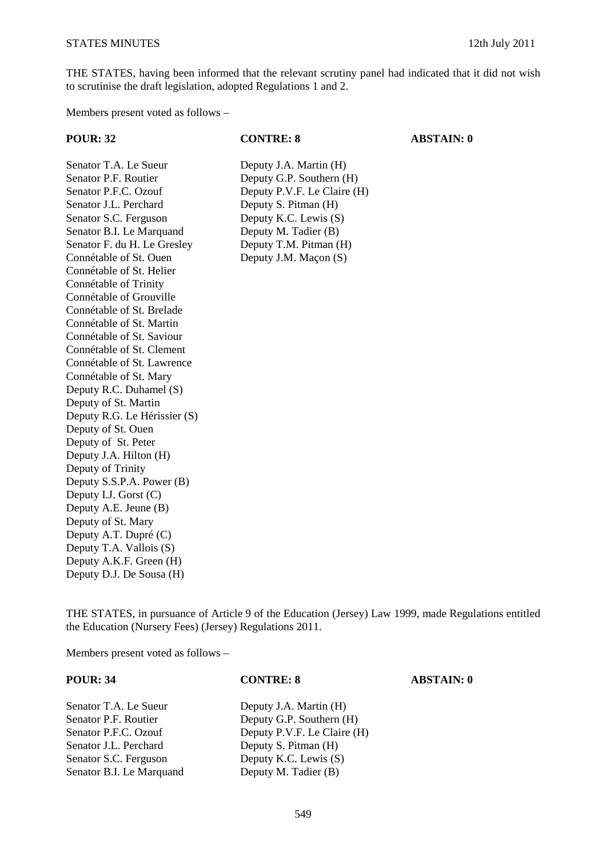THE STATES, having been informed that the relevant scrutiny panel had indicated that it did not wish to scrutinise the draft legislation, adopted Regulations 1 and 2.

Members present voted as follows –

#### **POUR: 32 CONTRE: 8 ABSTAIN: 0**

Senator T.A. Le Sueur Deputy J.A. Martin (H) Senator P.F. Routier Deputy G.P. Southern (H) Senator P.F.C. Ozouf Deputy P.V.F. Le Claire (H) Senator J.L. Perchard Deputy S. Pitman (H) Senator S.C. Ferguson Deputy K.C. Lewis (S) Senator B.I. Le Marquand Deputy M. Tadier (B) Senator F. du H. Le Gresley Deputy T.M. Pitman (H) Connétable of St. Ouen Deputy J.M. Maçon (S) Connétable of St. Helier Connétable of Trinity Connétable of Grouville Connétable of St. Brelade Connétable of St. Martin Connétable of St. Saviour Connétable of St. Clement Connétable of St. Lawrence Connétable of St. Mary Deputy R.C. Duhamel (S) Deputy of St. Martin Deputy R.G. Le Hérissier (S) Deputy of St. Ouen Deputy of St. Peter Deputy J.A. Hilton (H) Deputy of Trinity Deputy S.S.P.A. Power (B) Deputy I.J. Gorst (C) Deputy A.E. Jeune (B) Deputy of St. Mary Deputy A.T. Dupré (C) Deputy T.A. Vallois (S) Deputy A.K.F. Green (H) Deputy D.J. De Sousa (H)

THE STATES, in pursuance of Article 9 of the Education (Jersey) Law 1999, made Regulations entitled the Education (Nursery Fees) (Jersey) Regulations 2011.

Members present voted as follows –

#### **POUR: 34 CONTRE: 8 ABSTAIN: 0**

Senator T.A. Le Sueur Deputy J.A. Martin (H)<br>Senator P.F. Routier Deputy G.P. Southern (I) Deputy G.P. Southern (H) Senator P.F.C. Ozouf Deputy P.V.F. Le Claire (H) Senator J.L. Perchard Deputy S. Pitman (H) Senator S.C. Ferguson Deputy K.C. Lewis (S) Senator B.I. Le Marquand Deputy M. Tadier (B)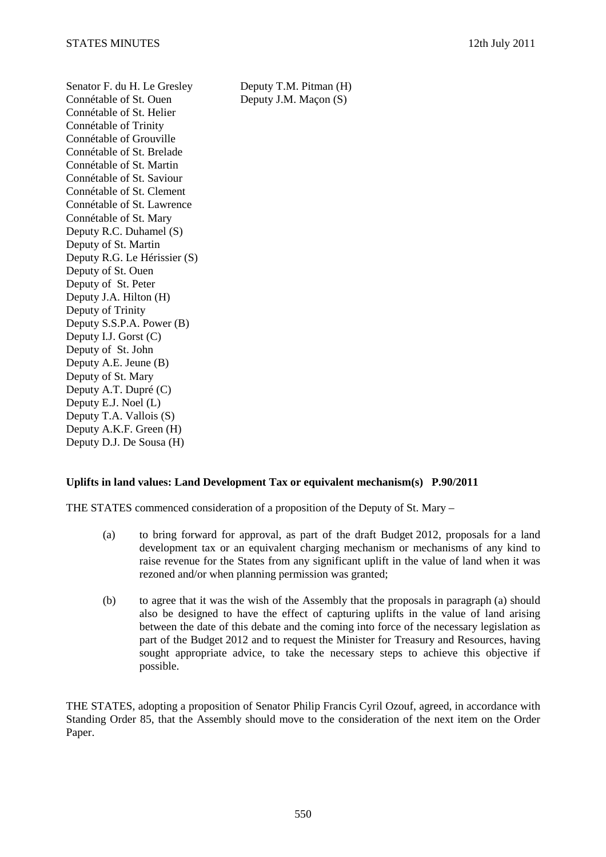Senator F. du H. Le Gresley Deputy T.M. Pitman (H) Connétable of St. Ouen Deputy J.M. Macon (S) Connétable of St. Helier Connétable of Trinity Connétable of Grouville Connétable of St. Brelade Connétable of St. Martin Connétable of St. Saviour Connétable of St. Clement Connétable of St. Lawrence Connétable of St. Mary Deputy R.C. Duhamel (S) Deputy of St. Martin Deputy R.G. Le Hérissier (S) Deputy of St. Ouen Deputy of St. Peter Deputy J.A. Hilton (H) Deputy of Trinity Deputy S.S.P.A. Power (B) Deputy I.J. Gorst (C) Deputy of St. John Deputy A.E. Jeune (B) Deputy of St. Mary Deputy A.T. Dupré (C) Deputy E.J. Noel (L) Deputy T.A. Vallois (S) Deputy A.K.F. Green (H) Deputy D.J. De Sousa (H)

# **Uplifts in land values: Land Development Tax or equivalent mechanism(s) P.90/2011**

THE STATES commenced consideration of a proposition of the Deputy of St. Mary –

- (a) to bring forward for approval, as part of the draft Budget 2012, proposals for a land development tax or an equivalent charging mechanism or mechanisms of any kind to raise revenue for the States from any significant uplift in the value of land when it was rezoned and/or when planning permission was granted;
- (b) to agree that it was the wish of the Assembly that the proposals in paragraph (a) should also be designed to have the effect of capturing uplifts in the value of land arising between the date of this debate and the coming into force of the necessary legislation as part of the Budget 2012 and to request the Minister for Treasury and Resources, having sought appropriate advice, to take the necessary steps to achieve this objective if possible.

THE STATES, adopting a proposition of Senator Philip Francis Cyril Ozouf, agreed, in accordance with Standing Order 85, that the Assembly should move to the consideration of the next item on the Order Paper.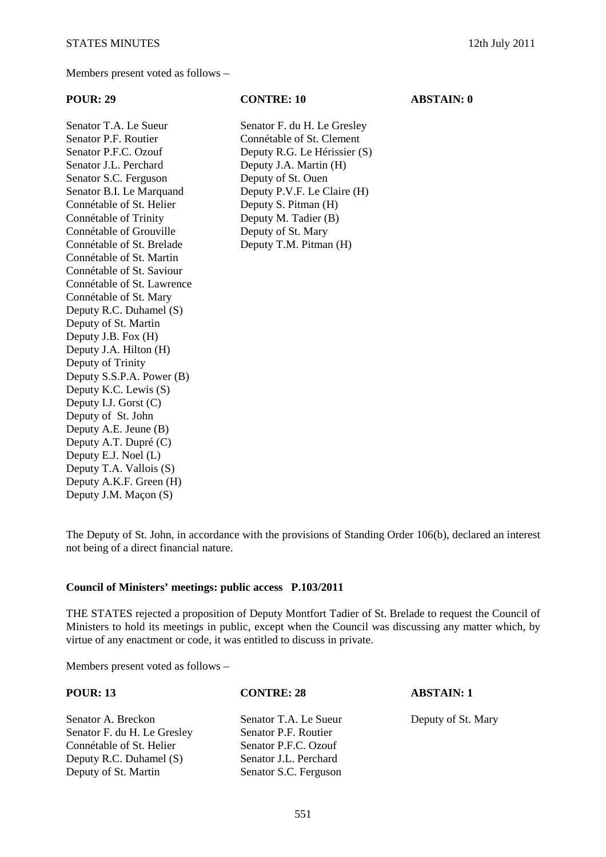Senator T.A. Le Sueur Senator F. du H. Le Gresley Senator P.F. Routier Connétable of St. Clement Senator J.L. Perchard Deputy J.A. Martin (H) Senator S.C. Ferguson Deputy of St. Ouen Connétable of St. Helier Deputy S. Pitman (H) Connétable of Trinity Deputy M. Tadier (B) Connétable of Grouville Deputy of St. Mary Connétable of St. Brelade Deputy T.M. Pitman (H) Connétable of St. Martin Connétable of St. Saviour Connétable of St. Lawrence Connétable of St. Mary Deputy R.C. Duhamel (S) Deputy of St. Martin Deputy J.B. Fox (H) Deputy J.A. Hilton (H) Deputy of Trinity Deputy S.S.P.A. Power (B) Deputy K.C. Lewis (S) Deputy I.J. Gorst (C) Deputy of St. John Deputy A.E. Jeune (B) Deputy A.T. Dupré (C) Deputy E.J. Noel (L) Deputy T.A. Vallois (S) Deputy A.K.F. Green (H) Deputy J.M. Maçon (S)

#### **POUR: 29 CONTRE: 10 ABSTAIN: 0**

Senator P.F.C. Ozouf Deputy R.G. Le Hérissier (S) Senator B.I. Le Marquand Deputy P.V.F. Le Claire (H)

The Deputy of St. John, in accordance with the provisions of Standing Order 106(b), declared an interest not being of a direct financial nature.

#### **Council of Ministers' meetings: public access P.103/2011**

THE STATES rejected a proposition of Deputy Montfort Tadier of St. Brelade to request the Council of Ministers to hold its meetings in public, except when the Council was discussing any matter which, by virtue of any enactment or code, it was entitled to discuss in private.

Members present voted as follows –

| <b>POUR: 13</b>             | <b>CONTRE: 28</b>     | <b>ABSTAIN: 1</b>  |
|-----------------------------|-----------------------|--------------------|
| Senator A. Breckon          | Senator T.A. Le Sueur | Deputy of St. Mary |
| Senator F. du H. Le Gresley | Senator P.F. Routier  |                    |
| Connétable of St. Helier    | Senator P.F.C. Ozouf  |                    |
| Deputy R.C. Duhamel $(S)$   | Senator J.L. Perchard |                    |
| Deputy of St. Martin        | Senator S.C. Ferguson |                    |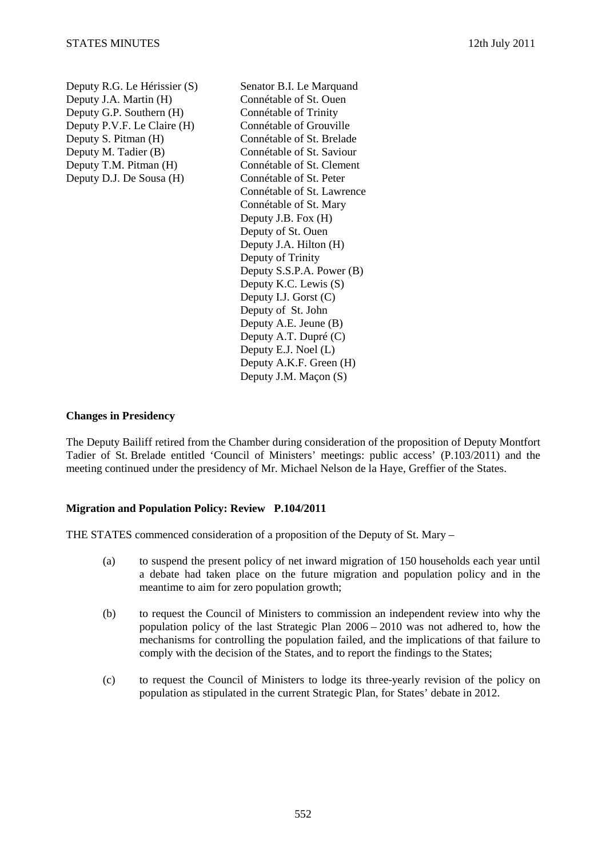Deputy R.G. Le Hérissier (S) Senator B.I. Le Marquand Deputy J.A. Martin (H) Connétable of St. Ouen Deputy G.P. Southern (H) Connétable of Trinity Deputy P.V.F. Le Claire (H) Connétable of Grouville Deputy S. Pitman (H) Connétable of St. Brelade Deputy M. Tadier (B) Connétable of St. Saviour Deputy T.M. Pitman (H) Connétable of St. Clement

Deputy D.J. De Sousa (H) Connétable of St. Peter Connétable of St. Lawrence Connétable of St. Mary Deputy J.B. Fox (H) Deputy of St. Ouen Deputy J.A. Hilton (H) Deputy of Trinity Deputy S.S.P.A. Power (B) Deputy K.C. Lewis (S) Deputy I.J. Gorst (C) Deputy of St. John Deputy A.E. Jeune (B) Deputy A.T. Dupré (C) Deputy E.J. Noel (L) Deputy A.K.F. Green (H) Deputy J.M. Maçon (S)

### **Changes in Presidency**

The Deputy Bailiff retired from the Chamber during consideration of the proposition of Deputy Montfort Tadier of St. Brelade entitled 'Council of Ministers' meetings: public access' (P.103/2011) and the meeting continued under the presidency of Mr. Michael Nelson de la Haye, Greffier of the States.

### **Migration and Population Policy: Review P.104/2011**

THE STATES commenced consideration of a proposition of the Deputy of St. Mary –

- (a) to suspend the present policy of net inward migration of 150 households each year until a debate had taken place on the future migration and population policy and in the meantime to aim for zero population growth;
- (b) to request the Council of Ministers to commission an independent review into why the population policy of the last Strategic Plan 2006 – 2010 was not adhered to, how the mechanisms for controlling the population failed, and the implications of that failure to comply with the decision of the States, and to report the findings to the States;
- (c) to request the Council of Ministers to lodge its three-yearly revision of the policy on population as stipulated in the current Strategic Plan, for States' debate in 2012.